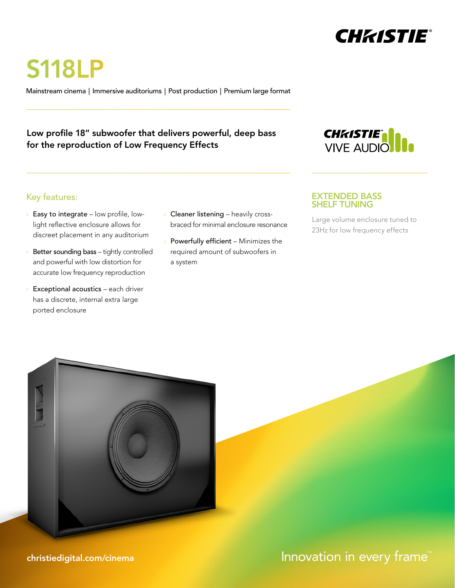

S118LP

Mainstream cinema | Immersive auditoriums | Post production | Premium large format

### Low profile 18" subwoofer that delivers powerful, deep bass  $\sim$ for the reproduction of Low Frequency Effects



# Key features:

- $\rightarrow$  Easy to integrate low profile, lowlight reflective enclosure allows for discreet placement in any auditorium
- Better sounding bass tightly controlled and powerful with low distortion for accurate low frequency reproduction
- $\rightarrow$  Exceptional acoustics each driver has a discrete, internal extra large ported enclosure
- **Cleaner listening** heavily crossbraced for minimal enclosure resonance
- Powerfully efficient Minimizes the required amount of subwoofers in a system

#### EXTENDED BASS SHELF TUNING

Large volume enclosure tuned to 23Hz for low frequency effects